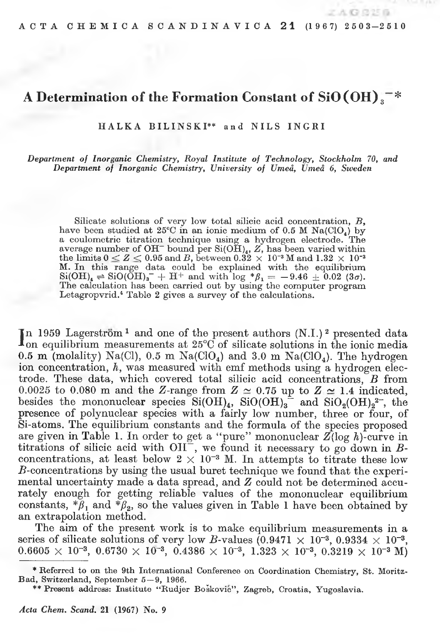$A$ G 8256

# A Determination of the Formation Constant of  $SiO(OH)$ <sup>-\*</sup>

HALKA BILINSKI\*\* and NILS INGRI

Department of Inorganic Chemistry, Royal Institute of Technology, Stockholm 70, and Department of Inorganic Chemistry, University of Umeå, Umeå 6, Sweden

Silicate solutions of very low total silicic acid concentration, B, have been studied at  $25^{\circ}$ C in an ionic medium of 0.5 M Na(ClO<sub>4</sub>) by a coulometric titration technique using a hydrogen electrode. The average number of OH<sup>-</sup> bound per Si(OH)<sub>4</sub>, Z, has been varied within the limits  $0 \leq Z \leq 0.95$  and B, between  $0.32 \times 10^{-3}$  M and  $1.32 \times 10^{-3}$ M. In this range data could be explained with the equilibrium  $\frac{\text{Si(OH)}_k}{\text{Si(OH)}_k}$  = SiO(OH)<sub>3</sub> + H<sup>+</sup> and with log \* $\beta_1 = -9.46 \pm 0.02$  (3*a*).<br>The calculation has been carried out by using the computer program Letagropvrid.<sup>4</sup> Table 2 gives a survey of the calculations.

In 1959 Lagerström<sup>1</sup> and one of the present authors  $(N.I.)$ <sup>2</sup> presented data<br>Ion equilibrium measurements at 25°C of silicate solutions in the ionic media 0.5 m (molality) Na(Cl), 0.5 m Na(ClO<sub>4</sub>) and 3.0 m Na(ClO<sub>4</sub>). The hydrogen ion concentration, h, was measured with emf methods using a hydrogen electrode. These data, which covered total silicic acid concentrations,  $B$  from 0.0025 to 0.080 m and the Z-range from  $Z \simeq 0.75$  up to  $Z \simeq 1.4$  indicated, besides the mononuclear species  $Si(OH)_4$ ,  $SiO(OH)_2^2$  and  $SiO_2(OH)_2^2$ , the presence of polynuclear species with a fairly low number, three or four, of Si-atoms. The equilibrium constants and the formula of the species proposed are given in Table 1. In order to get a "pure" mononuclear  $Z(\log h)$ -curve in titrations of silicic acid with OH<sup> $\sim$ </sup>, we found it necessary to go down in *B*-concentrations, at least below  $2 \times 10^{-3}$  M. In attempts to titrate these low  $B$ -concentrations by using the usual buret technique we found that the experimental uncertainty made a data spread, and Z could not be determined accurately enough for getting reliable values of the mononuclear equilibrium constants,  $*\tilde{\beta}_1$  and  $*\beta_2$ , so the values given in Table 1 have been obtained by an extrapolation method.

The aim of the present work is to make equilibrium measurements in a series of silicate solutions of very low B-values  $(0.9471 \times 10^{-3}, 0.9334 \times 10^{-3},$  $0.6605 \times 10^{-3}$ ,  $0.6730 \times 10^{-3}$ ,  $0.4386 \times 10^{-3}$ ,  $1.323 \times 10^{-3}$ ,  $0.3219 \times 10^{-3}$  M)

<sup>\*</sup> Referred to on the 9th International Conference on Coordination Chemistry, St. Moritz-Bad, Switzerland, September 5-9, 1966.

<sup>\*\*</sup> Present address: Institute "Rudjer Bošković", Zagreb, Croatia, Yugoslavia.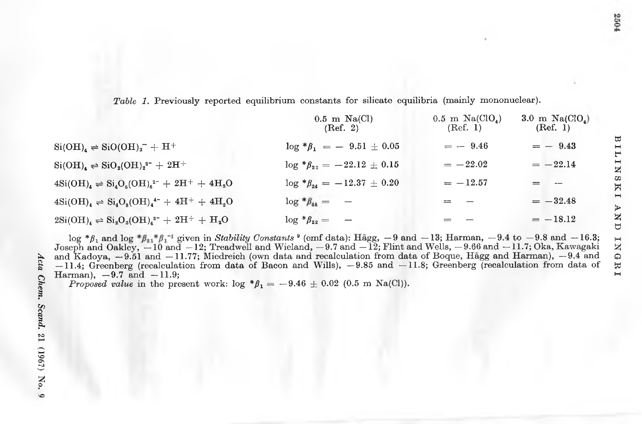Table 1. Previously reported equilibrium constants for silicate equilibria (mainly mononuclear).

|                                                                                                                                                      | $0.5$ m Na(Cl)<br>(Ref. 2)                      | $0.5$ m Na(CIO <sub>4</sub> )<br>(Ref. 1) | 3.0 m $Na(CIO_1)$<br>(Ref. 1) |
|------------------------------------------------------------------------------------------------------------------------------------------------------|-------------------------------------------------|-------------------------------------------|-------------------------------|
| $\text{Si}(\text{OH})_{4} \Rightarrow \text{SiO}(\text{OH})_{3}^{-} + \text{H}^{+}$                                                                  | $\log * \beta_1 = -9.51 \pm 0.05$               | $= -9.46$                                 | $= -9.43$                     |
| $\text{Si}(\text{OH})_{4} \rightleftharpoons \text{SiO}_{2}(\text{OH})_{2}^{2-} + 2\text{H}^{+}$                                                     | $\log * \beta_{21} = -22.12 \pm 0.15$           | $=-22.02$                                 | $=-22.14$                     |
| $4\mathrm{Si}(\mathrm{OH})_{4} \rightleftharpoons \mathrm{Si}_{4}\mathrm{O}_{6}(\mathrm{OH})_{6}^{2-} + 2\mathrm{H}^{+} + 4\mathrm{H}_{2}\mathrm{O}$ | $\log \frac{4}{3} \beta_{24} = -12.37 \pm 0.20$ | $=-12.57$                                 |                               |
| $4\mathrm{Si}(\mathrm{OH})_{4} \Rightarrow \mathrm{Si}_{4}\mathrm{O}_{8}(\mathrm{OH})_{4}^{4-} + 4\mathrm{H}^{+} + 4\mathrm{H}_{2}\mathrm{O}$        | $\log * \beta_{44} = -$                         | $=$ $-$                                   | $=-32.48$                     |
| $2\mathrm{Si}(\mathrm{OH})_{4} \rightleftharpoons \mathrm{Si}_{2}\mathrm{O}_{3}(\mathrm{OH})_{4}^{2-} + 2\mathrm{H}^{+} + \mathrm{H}_{2}\mathrm{O}$  | $\log * \beta_{22} = -$                         |                                           | $=-18.12$                     |

 $\log * \beta_1$  and  $\log * \beta_{11} * \beta_1^{-1}$  given in *Stability Constants*  $\theta$  (emf data): Hägg,  $-9$  and  $-13$ ; Harman,  $-9.4$  to  $-9.8$  and  $-16.3$ ; Joseph and Oakley,  $-10$  and  $-12$ ; Treadwell and Wieland,  $-9.7$  and  $-12$ ; Fl and Kadoya,  $-9.51$  and  $-11.77$ ; Miedreich (own data and recalculation from data of Boque, Hägg and Harman),  $-9.4$  and  $-11.4$ ; Greenberg (recalculation from data of Bacon and Wills),  $-9.85$  and  $-11.8$ ; Greenberg (recalculation from data of Harman),  $-9.7$  and  $-11.9$ ;

*Proposed value* in the present work:  $\log * \beta_1 = -9.46 \pm 0.02$  (0.5 m Na(Cl)).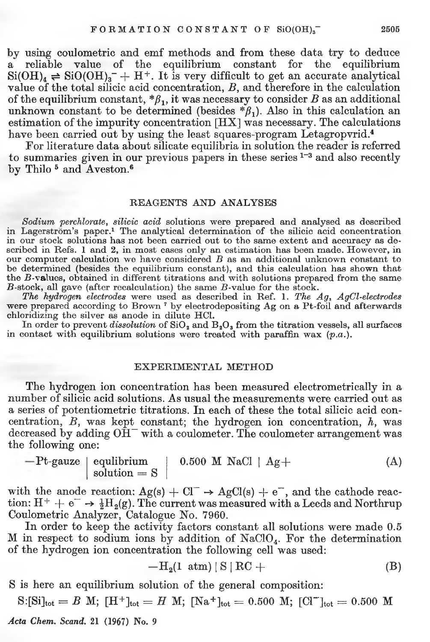by using coulometric and emf methods and from these data try to deduce<br>a reliable value of the equilibrium constant for the equilibrium a reliable value of the equilibrium constant for the equilibrium  $Si(OH)<sub>4</sub> \rightleftharpoons SiO(OH)<sub>3</sub><sup>-</sup> + H<sup>+</sup>.$  It is very difficult to get an accurate analytical value of the total silicic acid concentration, *B,* and therefore in the calculation of the equilibrium constant,  ${}^*\beta_1$ , it was necessary to consider *B* as an additional unknown constant to be determined (besides  $*\beta_1$ ). Also in this calculation an estimation of the impurity concentration [HX] was necessary. The calculations have been carried out by using the least squares-program Letagropvrid.<sup>4</sup>

For literature data about silicate equilibria in solution the reader is referred to summaries given in our previous papers in these series  $1-3$  and also recently by Thilo<sup>5</sup> and Aveston.<sup>6</sup>

#### REAGENTS AND ANALYSES

*Sodiurn perchlorate, silicic acid* Solutions were prepared and analysed as described in Lagerström's paper.<sup>1</sup> The analytical determination of the silicic acid concentration in our stock solutions has not been carried out to the same extent and accuracy as described in Refs. 1 and 2, in most cases only an estimation has been made. However, in our computer calculation we have considered  $B$  as an additional unknown constant to be determined (besides the equilibrium constant), and this calculation has shown that the B-values, obtained in different titrations and with solutions prepared from the same  $B$ -stock, all gave (after recalculation) the same  $B$ -value for the stock.

*The hydrogen electrodes* were used as described in Ref. **1**. *The Ag, AgCl-electrodes* were prepared according to Brown<sup>7</sup> by electrodepositing Ag on a Pt-foil and afterwards chloridizing the silver as anode in dilute HC1.

In order to prevent *dissolution* of  $SiO<sub>3</sub>$  and  $B<sub>3</sub>O<sub>3</sub>$  from the titration vessels, all surfaces in contact with equilibrium solutions were treated with paraffin wax  $(p.a.).$ 

## EXPERIMENTAL METHOD

The hydrogen ion concentration has been measured electrometrically in a number of silicic acid Solutions. As usual the measurements were carried out as a series of potentiometric titrations. In each of these the total silicic acid concentration, *B,* was kept constant; the hydrogen ion concentration, *h,* was decreased by adding  $O\text{H}^-$  with a coulometer. The coulometer arrangement was the following one:

$$
-Pt\text{-}gauge \text{ equilibrium} \text{ solution} = S \qquad 0.500 \text{ M NaCl} \text{ } | \text{ } Ag+
$$
 (A)

with the anode reaction:  $Ag(s) + CI^{-} \rightarrow AgCl(s) + e^{-}$ , and the cathode reaction:  $H^+ + e^- \rightarrow \frac{1}{2}H_2(g)$ . The current was measured with a Leeds and Northrup Coulometric Analyzer, Catalogue No. 7960.

In order to keep the activity factors constant all solutions were made 0.5 M in respect to sodium ions by addition of  $NaClO<sub>4</sub>$ . For the determination of the hydrogen ion concentration the following cell was used:

$$
-\mathrm{H}_{2}(1 \text{ atm})\,|\,\mathrm{S}\,|\,\mathrm{RC}\,+\tag{B}
$$

S is here an equilibrium solution of the general composition:

 $S: [Si]_{tot} = B \text{ M}; [H^+]_{tot} = H \text{ M}; [Na^+]_{tot} = 0.500 \text{ M}; [Cl^-]_{tot} = 0.500 \text{ M}$ 

*Acta Chem. Scand.* 21 (1967) No. 9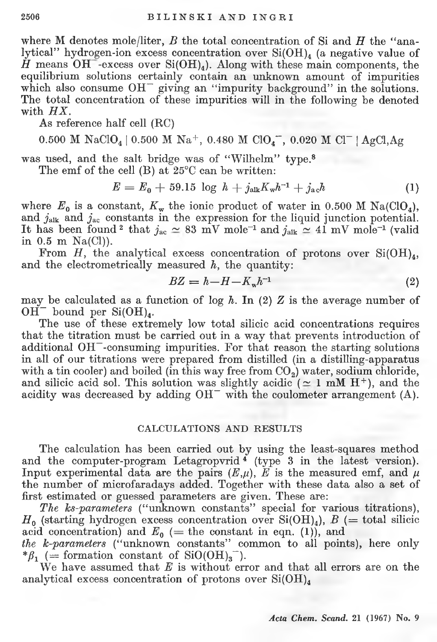where M denotes mole/liter, *B* the total concentration of Si and *H* the "analytical" hydrogen-ion excess concentration over  $Si(OH)_4$  (a negative value of  $\hat{H}$  means  $\overline{\text{OH}}$ -excess over Si(OH)<sub>4</sub>). Along with these main components, the equilibrium solutions certainly contain an unknown amount of impurities which also consume  $OH^-$  giving an "impurity background" in the solutions. The total concentration of these impurities will in the following be denoted with *HX.*

As reference half cell (RC)

0.500 M NaClO<sub>4</sub> | 0.500 M Na<sup>+</sup>, 0.480 M ClO<sub>4</sub><sup>-</sup>, 0.020 M Cl<sup>-</sup> | AgCl,Ag

was used, and the salt bridge was of "Wilhelm" type.8

The emf of the cell (B) at 25°C can be written:

$$
E = E_0 + 59.15 \log h + j_{\text{alk}} K_{\text{w}} h^{-1} + j_{\text{a}} h \tag{1}
$$

where  $E_0$  is a constant,  $K_w$  the ionic product of water in 0.500 M Na(ClO<sub>4</sub>), and *j*<sub>alk</sub> and *j*<sub>ac</sub> constants in the expression for the liquid junction potential. It has been found<sup>2</sup> that  $j_{ac} \simeq 83$  mV mole<sup>-1</sup> and  $j_{alk} \simeq 41$  mV mole<sup>-1</sup> (valid in 0.5 m Na(Cl)).

From *H*, the analytical excess concentration of protons over  $Si(OH)_{4}$ , and the electrometrically measured *h,* the quantity:

$$
BZ = h - H - K_w h^{-1}
$$
\n<sup>(2)</sup>

may be calculated as a function of  $\log h$ . In (2)  $Z$  is the average number of  $OH^-$  bound per  $Si(OH)_4$ .

The use of these extremely low total silicic acid concentrations requires that the titration must be carried out in a way that prevents introduction of additional  $OH^-$ -consuming impurities. For that reason the starting solutions in ali of our titrations were prepared from distilled (in a distilling-apparatus with a tin cooler) and boiled (in this way free from  $CO<sub>2</sub>$ ) water, sodium chloride, and silicic acid sol. This solution was slightly acidic  $( \simeq 1 \text{ mM H}^+ )$ , and the acidity was decreased by adding OH<sup>-</sup> with the coulometer arrangement (A).

## CALCULATIONS AND RESULTS

The calculation has been carried out by using the least-squares method and the computer-program Letagropvrid<sup>4</sup> (type 3 in the latest version). Input experimental data are the pairs  $(E,\mu)$ ,  $E$  is the measured emf, and  $\mu$ the number of microfaradays added. Together with these data also a set of first estimated or guessed parameters are given. These are:

*The ks-parameters* ("unknown constants" special for various titrations),  $H_0$  (starting hydrogen excess concentration over Si(OH)<sub>4</sub>),  $B$  (= total silicic acid concentration) and  $E_0$  (= the constant in eqn. (1)), and

*the k-parameters* ("unknown constants" common to ali points), here only  $*\beta_1$  (= formation constant of SiO(OH)<sub>3</sub><sup>-</sup>).

We have assumed that  $E$  is without error and that all errors are on the analytical excess concentration of protons over  $Si(OH)_4$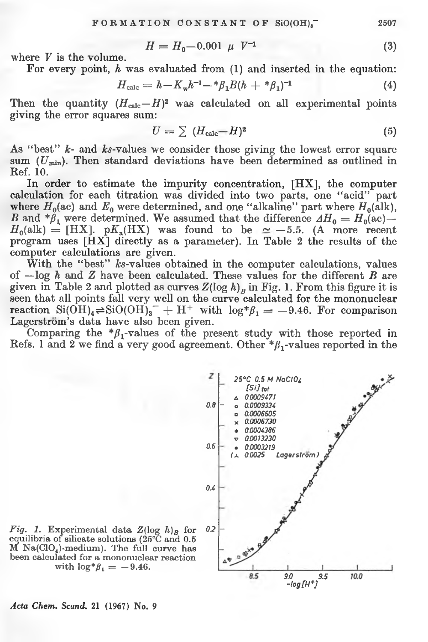$$
H = H_0 - 0.001 \mu \ V^{-1} \tag{3}
$$

where *V* is the volume.

<span id="page-4-0"></span>For every point, *h* was evaluated from (1) and inserted in the equation:

$$
H_{\text{calc}} = h - K_{\text{w}} h^{-1} - \frac{k \beta_1 B (h + \frac{k \beta_1}{1})^{-1}}{(4)}
$$

Then the quantity  $(H_{\text{calc}} - H)^2$  was calculated on all experimental points giving the error squares sum:

$$
U = \sum (H_{\text{calc}} - H)^2 \tag{5}
$$

As "best" *k*- and *ks*-values we consider those giving the lowest error square sum (*Umin).* Then standard deviations have been determined as outlined in Ref. 10.

In order to estimate the impurity concentration, [HX], the computer calculation for each titration was divided into two parts, one "acid" part where  $H_0$ (ac) and  $E_0$  were determined, and one "alkaline" part where  $H_0$ (alk), *B* and  $*\beta_1$  were determined. We assumed that the difference  $AH_0 = H_0(ac)$ —  $H_0(\text{alk}) = [\text{HX}]$ . p $K_a(\text{HX})$  was found to be  $\simeq -5.5$ . (A more recent program uses [HX] directly as a parameter). In Table 2 the results of the computer calculations are given.

With the "best" ks-values obtained in the computer calculations, values of —log *h* and *Z* have been calculated. These values for the different *B* are given in Table 2 and plotted as curves  $Z(\log h)_p$  in Fig. 1. From this figure it is seen that ali points fali very well on the curve calculated for the mononuclear reaction  $Si(OH)_4 \rightleftharpoons SiO(OH)_3^- + H^+$  with  $log^* \beta_1 = -9.46$ . For comparison Lagerstrom's data have also been given.

Comparing the  $*\beta_1$ -values of the present study with those reported in Refs. 1 and 2 we find a very good agreement. Other  $*\beta_1$ -values reported in the



*Fig. 1.* Experimental data  $Z(\log h)$ <sup>B</sup> for equilibria of silicate solutions  $(25^{\circ}C \text{ and } 0.5)$  $M$  Na(ClO<sub>4</sub>)-medium). The full curve has been calculated for a mononuclear reaction with  $\log^* \beta_1 = -9.46$ .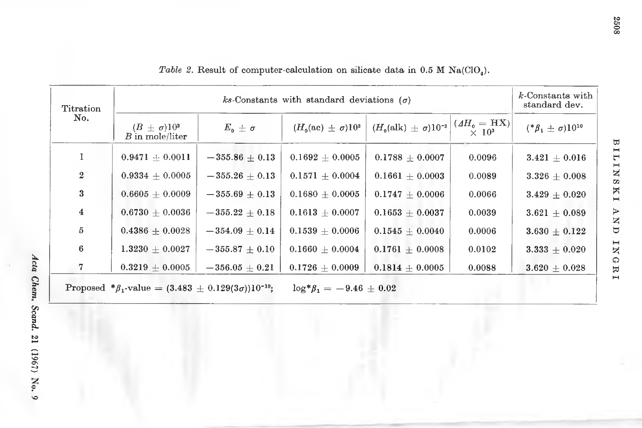| <b>Titration</b><br>No.                                                                                 |                                           | $k$ -Constants with<br>standard dev. |                                   |                                       |                               |                                   |
|---------------------------------------------------------------------------------------------------------|-------------------------------------------|--------------------------------------|-----------------------------------|---------------------------------------|-------------------------------|-----------------------------------|
|                                                                                                         | $(B \pm \sigma)10^3$<br>$B$ in mole/liter | $E_0 \pm \sigma$                     | $(H_0(\text{ac}) \pm \sigma)10^3$ | $(H_0(\text{alk}) \pm \sigma)10^{-3}$ | $(AH0 = HX)$<br>$\times 10^3$ | $({}^*\beta_1 \pm \sigma)10^{10}$ |
|                                                                                                         | $0.9471 + 0.0011$                         | $-355.86 + 0.13$                     | $0.1692 + 0.0005$                 | $0.1788 + 0.0007$                     | 0.0096                        | $3.421\,\pm\,0.016$               |
| $\mathbf{2}$                                                                                            | $0.9334 + 0.0005$                         | $-355.26 + 0.13$                     | $0.1571 + 0.0004$                 | $0.1661 + 0.0003$                     | 0.0089                        | $3.326 + 0.008$                   |
| 3                                                                                                       | $0.6605 + 0.0009$                         | $-355.69 + 0.13$                     | $0.1680 + 0.0005$                 | $0.1747 + 0.0006$                     | 0.0066                        | $3.429 + 0.020$                   |
| 4                                                                                                       | $0.6730 + 0.0036$                         | $-355.22 + 0.18$                     | $0.1613 + 0.0007$                 | $0.1653 + 0.0037$                     | 0.0039                        | $3.621 \pm 0.089$                 |
| 5                                                                                                       | $0.4386 + 0.0028$                         | $-354.09 + 0.14$                     | $0.1539 + 0.0006$                 | $0.1545 + 0.0040$                     | 0.0006                        | $3.630 + 0.122$                   |
| 6                                                                                                       | $1.3230 + 0.0027$                         | $-355.87\,\pm\,0.10$                 | $0.1660 + 0.0004$                 | $0.1761 + 0.0008$                     | 0.0102                        | $3.333 + 0.020$                   |
| 7                                                                                                       | $0.3219 + 0.0005$                         | $-356.05\,\pm\,0.21$                 | $0.1726\,\pm\,0.0009$             | $0.1814 + 0.0005$                     | 0.0088                        | $3.620 \pm 0.028$                 |
| Proposed * $\beta_1$ -value = $(3.483 \pm 0.129(3\sigma))10^{-10}$ ;<br>$\log^* \beta_1 = -9.46 + 0.02$ |                                           |                                      |                                   |                                       |                               |                                   |

Table 2. Result of computer-calculation on silicate data in 0.5 M Na(ClO<sub>4</sub>).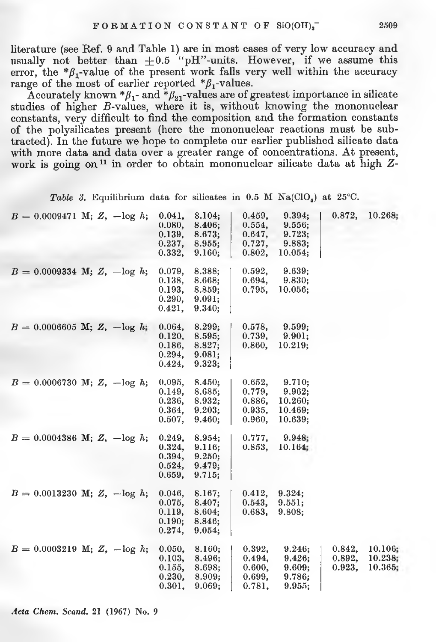literature (see Ref. 9 and Table 1) are in most cases of very low accuracy and usually not better than  $+0.5$  "pH"-units. However, if we assume this error, the  $*\beta_1$ -value of the present work falls very well within the accuracy range of the most of earlier reported  $*\beta_1$ -values.

Accurately known  ${}^*\beta_1$ - and  ${}^*\beta_{21}$ -values are of greatest importance in silicate studies of higher B-values, where it is, without knowing the mononuclear constants, very difficult to find the composition and the formation constants of the polysilicates present (here the mononuclear reactions must be subtracted). In the future we hope to complete our earlier published silicate data with more data and data over a greater range of concentrations. At present, work is going on<sup>11</sup> in order to obtain mononuclear silicate data at high Z-

*Table 3.* Equilibrium data for silicates in 0.5 M  $\text{Na}(\text{ClO}_4)$  at 25°C.

| $B = 0.0009471$ M; Z, $-\log h$ ; |  | 0.041,<br>0.080,<br>0.139,<br>0.237,<br>0.332. | 8.104;<br>8.406;<br>8.673;<br>8.955;<br>9.160; | 0.459,<br>0.554,<br>0.647,<br>0.727,<br>0.802, | 9.394;<br>9.556;<br>9.723;<br>9.883;<br>10.054;   | 0.872,                     | 10.268;                       |
|-----------------------------------|--|------------------------------------------------|------------------------------------------------|------------------------------------------------|---------------------------------------------------|----------------------------|-------------------------------|
| $B = 0.0009334$ M; Z, $-\log h$ ; |  | 0.079,<br>0.138,<br>0.193,<br>0.290,<br>0.421. | 8.388;<br>8.668;<br>8.859;<br>9.091;<br>9.340: | 0.592,<br>0.694,<br>0.795,                     | 9.639;<br>9.830;<br>10.056;                       |                            |                               |
| $B = 0.0006605$ M; Z, $-\log h$ ; |  | 0.064,<br>0.120,<br>0.186,<br>0.294,<br>0.424, | 8.299;<br>8.595;<br>8.827;<br>9.081;<br>9.323; | 0.578,<br>0.739,<br>0.860,                     | 9.599;<br>9.901;<br>10.219;                       |                            |                               |
| $B = 0.0006730$ M; Z, $-\log h$ ; |  | 0.095,<br>0.149,<br>0.236,<br>0.364,<br>0.507  | 8.450;<br>8.685;<br>8.932;<br>9.203;<br>9.460: | 0.652,<br>0.779,<br>0.886,<br>0.935,<br>0.960. | 9.710;<br>9.962;<br>10.260;<br>10.469;<br>10.639: |                            |                               |
| $B = 0.0004386$ M; Z, $-\log h$ ; |  | 0.249,<br>0.324,<br>0.394,<br>0.524,<br>0.659, | 8.954;<br>9.116;<br>9.250;<br>9.479:<br>9.715; | 0.777,<br>0.853,                               | 9.948;<br>10.164;                                 |                            |                               |
| $B = 0.0013230$ M; Z, $-\log h$ ; |  | 0.046,<br>0.075,<br>0.119,<br>0.190;<br>0.274, | 8.167;<br>8.407;<br>8.604;<br>8.846;<br>9.054: | 0.412,<br>0.543,<br>0.683,                     | 9.324;<br>9.551:<br>9.808;                        |                            |                               |
| $B = 0.0003219$ M; Z, $-\log h$ ; |  | 0.050,<br>0.103,<br>0.155,<br>0.230,<br>0.301, | 8.160;<br>8.496;<br>8.698;<br>8.909;<br>9.069; | 0.392,<br>0.494,<br>0.600,<br>0.699,<br>0.781, | 9.246;<br>9.426;<br>9.609;<br>9.786;<br>9.955;    | 0.842.<br>0.892,<br>0.923, | 10.106;<br>10.238;<br>10.365; |

*Acta Chem. Scand.* 21 (1967) No. 9